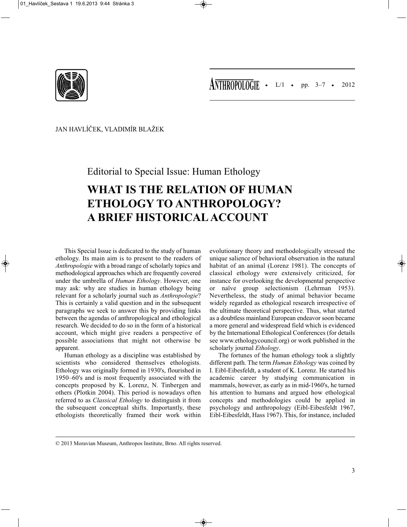

JAN HAVLÍČEK, VLADIMÍR BLAŽEK

Editorial to Special Issue: Human Ethology

## **WHAT IS THE RELATION OF HUMAN ETHOLOGY TO ANTHROPOLOGY? A BRIEF HISTORICAL ACCOUNT**

This Special Issue is dedicated to the study of human ethology. Its main aim is to present to the readers of *Anthropologie* with a broad range of scholarly topics and methodological approaches which are frequently covered under the umbrella of *Human Ethology*. However, one may ask: why are studies in human ethology being relevant for a scholarly journal such as *Anthropologie*? This is certainly a valid question and in the subsequent paragraphs we seek to answer this by providing links between the agendas of anthropological and ethological research. We decided to do so in the form of a historical account, which might give readers a perspective of possible associations that might not otherwise be apparent.

Human ethology as a discipline was established by scientists who considered themselves ethologists. Ethology was originally formed in 1930's, flourished in 1950–60's and is most frequently associated with the concepts proposed by K. Lorenz, N. Tinbergen and others (Plotkin 2004). This period is nowadays often referred to as *Classical Ethology* to distinguish it from the subsequent conceptual shifts. Importantly, these ethologists theoretically framed their work within

evolutionary theory and methodologically stressed the unique salience of behavioral observation in the natural habitat of an animal (Lorenz 1981). The concepts of classical ethology were extensively criticized, for instance for overlooking the developmental perspective or naïve group selectionism (Lehrman 1953). Nevertheless, the study of animal behavior became widely regarded as ethological research irrespective of the ultimate theoretical perspective. Thus, what started as a doubtless mainland European endeavor soon became a more general and widespread field which is evidenced by the International Ethological Conferences (for details see www.ethologycouncil.org) or work published in the scholarly journal *Ethology*.

The fortunes of the human ethology took a slightly different path. The term *Human Ethology* was coined by I. Eibl-Eibesfeldt, a student of K. Lorenz. He started his academic career by studying communication in mammals, however, as early as in mid-1960's, he turned his attention to humans and argued how ethological concepts and methodologies could be applied in psychology and anthropology (Eibl-Eibesfeldt 1967, Eibl-Eibesfeldt, Hass 1967). This, for instance, included

<sup>© 2013</sup> Moravian Museum, Anthropos Institute, Brno. All rights reserved.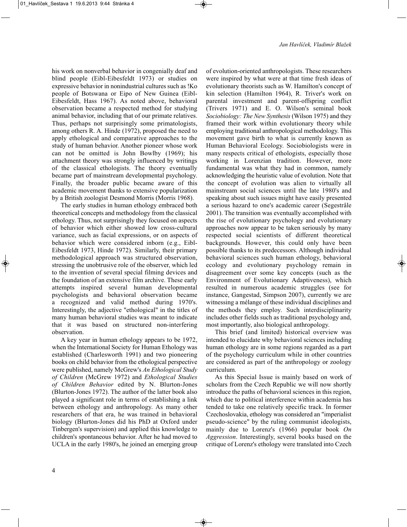his work on nonverbal behavior in congenially deaf and blind people (Eibl-Eibesfeldt 1973) or studies on expressive behavior in nonindustrial cultures such as !Ko people of Botswana or Eipo of New Guinea (Eibl-Eibesfeldt, Hass 1967). As noted above, behavioral observation became a respected method for studying animal behavior, including that of our primate relatives. Thus, perhaps not surprisingly some primatologists, among others R. A. Hinde (1972), proposed the need to apply ethological and comparative approaches to the study of human behavior. Another pioneer whose work can not be omitted is John Bowlby (1969); his attachment theory was strongly influenced by writings of the classical ethologists. The theory eventually became part of mainstream developmental psychology. Finally, the broader public became aware of this academic movement thanks to extensive popularization by a British zoologist Desmond Morris (Morris 1968).

The early studies in human ethology embraced both theoretical concepts and methodology from the classical ethology. Thus, not surprisingly they focused on aspects of behavior which either showed low cross-cultural variance, such as facial expressions, or on aspects of behavior which were considered inborn (e.g., Eibl-Eibesfeldt 1973, Hinde 1972). Similarly, their primary methodological approach was structured observation, stressing the unobtrusive role of the observer, which led to the invention of several special filming devices and the foundation of an extensive film archive. These early attempts inspired several human developmental psychologists and behavioral observation became a recognized and valid method during 1970's. Interestingly, the adjective "ethological" in the titles of many human behavioral studies was meant to indicate that it was based on structured non-interfering observation.

A key year in human ethology appears to be 1972, when the International Society for Human Ethology was established (Charlesworth 1991) and two pioneering books on child behavior from the ethological perspective were published, namely McGrew's *An Ethological Study of Children* (McGrew 1972) and *Ethological Studies of Children Behavior* edited by N. Blurton-Jones (Blurton-Jones 1972). The author of the latter book also played a significant role in terms of establishing a link between ethology and anthropology. As many other researchers of that era, he was trained in behavioral biology (Blurton-Jones did his PhD at Oxford under Tinbergen's supervision) and applied this knowledge to children's spontaneous behavior. After he had moved to UCLA in the early 1980's, he joined an emerging group of evolution-oriented anthropologists. These researchers were inspired by what were at that time fresh ideas of evolutionary theorists such as W. Hamilton's concept of kin selection (Hamilton 1964), R. Triver's work on parental investment and parent-offspring conflict (Trivers 1971) and E. O. Wilson's seminal book *Sociobiology: The New Synthesis* (Wilson 1975) and they framed their work within evolutionary theory while employing traditional anthropological methodology. This movement gave birth to what is currently known as Human Behavioral Ecology. Sociobiologists were in many respects critical of ethologists, especially those working in Lorenzian tradition. However, more fundamental was what they had in common, namely acknowledging the heuristic value of evolution. Note that the concept of evolution was alien to virtually all mainstream social sciences until the late 1980's and speaking about such issues might have easily presented a serious hazard to one's academic career (Segestråle 2001). The transition was eventually accomplished with the rise of evolutionary psychology and evolutionary approaches now appear to be taken seriously by many respected social scientists of different theoretical backgrounds. However, this could only have been possible thanks to its predecessors. Although individual behavioral sciences such human ethology, behavioral ecology and evolutionary psychology remain in disagreement over some key concepts (such as the Environment of Evolutionary Adaptiveness), which resulted in numerous academic struggles (see for instance, Gangestad, Simpson 2007), currently we are witnessing a mélange of these individual disciplines and the methods they employ. Such interdisciplinarity includes other fields such as traditional psychology and, most importantly, also biological anthropology.

This brief (and limited) historical overview was intended to elucidate why behavioral sciences including human ethology are in some regions regarded as a part of the psychology curriculum while in other countries are considered as part of the anthropology or zoology curriculum.

As this Special Issue is mainly based on work of scholars from the Czech Republic we will now shortly introduce the paths of behavioral sciences in this region, which due to political interference within academia has tended to take one relatively specific track. In former Czechoslovakia, ethology was considered an "imperialist pseudo-science" by the ruling communist ideologists, mainly due to Lorenz's (1966) popular book *On Aggression*. Interestingly, several books based on the critique of Lorenz's ethology were translated into Czech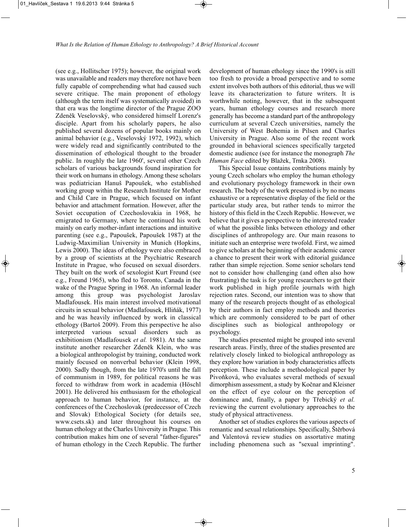(see e.g., Hollitscher 1975); however, the original work was unavailable and readers may therefore not have been fully capable of comprehending what had caused such severe critique. The main proponent of ethology (although the term itself was systematically avoided) in that era was the longtime director of the Prague ZOO Zdeněk Veselovský, who considered himself Lorenz's disciple. Apart from his scholarly papers, he also published several dozens of popular books mainly on animal behavior (e.g., Veselovský 1972, 1992), which were widely read and significantly contributed to the dissemination of ethological thought to the broader public. In roughly the late 1960', several other Czech scholars of various backgrounds found inspiration for their work on humans in ethology. Among these scholars was pediatrician Hanuš Papoušek, who established working group within the Research Institute for Mother and Child Care in Prague, which focused on infant behavior and attachment formation. However, after the Soviet occupation of Czechoslovakia in 1968, he emigrated to Germany, where he continued his work mainly on early mother-infant interactions and intuitive parenting (see e.g., Papoušek, Papoušek 1987) at the Ludwig-Maximilian University in Munich (Hopkins, Lewis 2000). The ideas of ethology were also embraced by a group of scientists at the Psychiatric Research Institute in Prague, who focused on sexual disorders. They built on the work of sexologist Kurt Freund (see e.g., Freund 1965), who fled to Toronto, Canada in the wake of the Prague Spring in 1968. An informal leader among this group was psychologist Jaroslav Madlafousek. His main interest involved motivational circuits in sexual behavior (Madlafousek, Hliňák, 1977) and he was heavily influenced by work in classical ethology (Bartoš 2009). From this perspective he also interpreted various sexual disorders such as exhibitionism (Madlafousek *et al.* 1981). At the same institute another researcher Zdeněk Klein, who was a biological anthropologist by training, conducted work mainly focused on nonverbal behavior (Klein 1998, 2000). Sadly though, from the late 1970's until the fall of communism in 1989, for political reasons he was forced to withdraw from work in academia (Höschl 2001). He delivered his enthusiasm for the ethological approach to human behavior, for instance, at the conferences of the Czechoslovak (predecessor of Czech and Slovak) Ethological Society (for details see, www.csets.sk) and later throughout his courses on human ethology at the Charles University in Prague. This contribution makes him one of several "father-figures" of human ethology in the Czech Republic. The further development of human ethology since the 1990's is still too fresh to provide a broad perspective and to some extent involves both authors of this editorial, thus we will leave its characterization to future writers. It is worthwhile noting, however, that in the subsequent years, human ethology courses and research more generally has become a standard part of the anthropology curriculum at several Czech universities, namely the University of West Bohemia in Pilsen and Charles University in Prague. Also some of the recent work grounded in behavioral sciences specifically targeted domestic audience (see for instance the monograph *The Human Face* edited by Blažek, Trnka 2008).

This Special Issue contains contributions mainly by young Czech scholars who employ the human ethology and evolutionary psychology framework in their own research. The body of the work presented is by no means exhaustive or a representative display of the field or the particular study area, but rather tends to mirror the history of this field in the Czech Republic. However, we believe that it gives a perspective to the interested reader of what the possible links between ethology and other disciplines of anthropology are. Our main reasons to initiate such an enterprise were twofold. First, we aimed to give scholars at the beginning of their academic career a chance to present their work with editorial guidance rather than simple rejection. Some senior scholars tend not to consider how challenging (and often also how frustrating) the task is for young researchers to get their work published in high profile journals with high rejection rates. Second, our intention was to show that many of the research projects thought of as ethological by their authors in fact employ methods and theories which are commonly considered to be part of other disciplines such as biological anthropology or psychology.

The studies presented might be grouped into several research areas. Firstly, three of the studies presented are relatively closely linked to biological anthropology as they explore how variation in body characteristics affects perception. These include a methodological paper by Pivoňková, who evaluates several methods of sexual dimorphism assessment, a study by Kočnar and Kleisner on the effect of eye colour on the perception of dominance and, finally, a paper by Třebický *et al.* reviewing the current evolutionary approaches to the study of physical attractiveness.

Another set of studies explores the various aspects of romantic and sexual relationships. Specifically, Štěrbová and Valentová review studies on assortative mating including phenomena such as "sexual imprinting".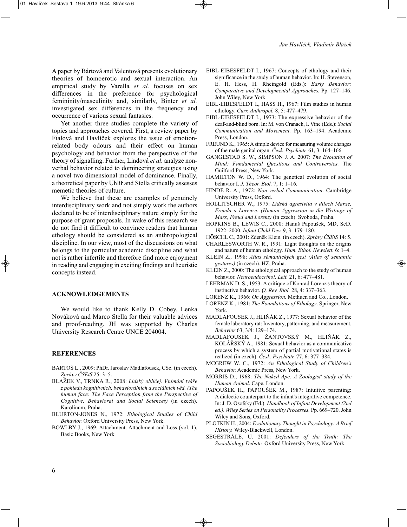A paper by Bártová and Valentová presents evolutionary theories of homoerotic and sexual interaction. An empirical study by Varella *et al.* focuses on sex differences in the preference for psychological femininity/masculinity and, similarly, Binter *et al.* investigated sex differences in the frequency and occurrence of various sexual fantasies.

Yet another three studies complete the variety of topics and approaches covered. First, a review paper by Fialová and Havlíček explores the issue of emotionrelated body odours and their effect on human psychology and behavior from the perspective of the theory of signalling. Further, Lindová *et al.* analyze nonverbal behavior related to domineering strategies using a novel two dimensional model of dominance. Finally, a theoretical paper by Uhlíř and Stella critically assesses memetic theories of culture.

We believe that these are examples of genuinely interdisciplinary work and not simply work the authors declared to be of interdisciplinary nature simply for the purpose of grant proposals. In wake of this research we do not find it difficult to convince readers that human ethology should be considered as an anthropological discipline. In our view, most of the discussions on what belongs to the particular academic discipline and what not is rather infertile and therefore find more enjoyment in reading and engaging in exciting findings and heuristic concepts instead.

## **ACKNOWLEDGEMENTS**

We would like to thank Kelly D. Cobey, Lenka Nováková and Marco Stella for their valuable advices and proof-reading. JH was supported by Charles University Research Centre UNCE 204004.

## **REFERENCES**

- BARTOŠ L., 2009: PhDr. Jaroslav Madlafousek, CSc. (in czech). *Zprávy ČSEtS* 25: 3–5.
- BLAŽEK V., TRNKA R., 2008: *Lidský obličej. Vnímání tváře z pohledu kognitivních, behaviorálních a sociálních věd. (The human face: The Face Perception from the Perspective of Cognitive, Behavioral and Social Sciences)* (in czech). Karolinum, Praha.
- BLURTON-JONES N., 1972: *Ethological Studies of Child Behavior.* Oxford University Press, New York.
- BOWLBY J., 1969: Attachment. Attachment and Loss (vol. 1). Basic Books, New York.
- EIBL-EIBESFELDT I., 1967: Concepts of ethology and their significance in the study of human behavior. In: H. Stevenson, E. H. Hess, H. Rheingold (Eds.): *Early Behavior: Comparative and Developmental Approaches.* Pp. 127–146. John Wiley, New York.
- EIBL-EIBESFELDT I., HASS H., 1967: Film studies in human ethology. *Curr. Anthropol.* 8, 5: 477–479.
- EIBL-EIBESFELDT I., 1973: The expressive behavior of the deaf-and-blind born. In: M. von Cranach, I. Vine (Eds.): *Social Communication and Movement.* Pp. 163–194. Academic Press, London.
- FREUND K., 1965: A simple device for measuring volume changes of the male genital organ. *Česk. Psychiatr.* 61, 3: 164–166.
- GANGESTAD S. W., SIMPSON J. A. 2007: *The Evolution of Mind: Fundamental Questions and Controversies.* The Guilford Press, New York.
- HAMILTON W. D., 1964: The genetical evolution of social behavior I. *J. Theor. Biol.* 7, 1: 1–16.
- HINDE R. A., 1972: *Non-verbal Communication*. Cambridge University Press, Oxford.
- HOLLITSCHER W., 1975: *Lidská agresivita v dílech Marxe, Freuda a Lorenze. (Human Aggression in the Writings of Marx, Freud and Lorenz)* (in czech). Svoboda, Praha.
- HOPKINS B., LEWIS C., 2000: Hanuš Papoušek, MD, ScD. 1922–2000. *Infant Child Dev.* 9, 3: 179–180.
- HÖSCHL C., 2001: Zdeněk Klein. (in czech). *Zprávy ČSEtS* 14: 5.
- CHARLESWORTH W. R., 1991: Light thoughts on the origins and nature of human ethology. *Hum. Ethol. Newslett.* 6: 1–4.
- KLEIN Z., 1998: *Atlas sémantických gest (Atlas of semantic gestures)* (in czech). HZ, Praha.
- KLEIN Z., 2000: The ethological approach to the study of human behavior. *Neuroendocrinol. Lett.* 21, 6: 477–481.
- LEHRMAN D. S., 1953: A critique of Konrad Lorenz's theory of instinctive behavior. *Q. Rev. Biol.* 28, 4: 337–363.
- LORENZ K., 1966: *On Aggression.* Methuen and Co., London.
- LORENZ K., 1981: *The Foundations of Ethology*. Springer, New York.
- MADLAFOUSEK J., HLIŇÁK Z., 1977: Sexual behavior of the female laboratory rat: Inventory, patterning, and measurement. *Behavior* 63, 3/4: 129–174.
- MADLAFOUSEK J., ŽANTOVSKÝ M., HLIŇÁK Z., KOLÁŘSKÝ A., 1981: Sexual behavior as a communicative process by which a system of partial motivational states is realized (in czech). *Česk. Psychiatr.* 77, 6: 377–384.
- MCGREW W. C., 1972: *An Ethological Study of Children's Behavior.* Academic Press, New York.
- MORRIS D., 1968: *The Naked Ape: A Zoologist' study of the Human Animal*. Cape, London.
- PAPOUŠEK H., PAPOUŠEK M., 1987: Intuitive parenting: A dialectic counterpart to the infant's integrative competence. In: J. D. Osofsky (Ed.): *Handbook of Infant Development (2nd ed.). Wiley Series on Personality Processes.* Pp. 669–720. John Wiley and Sons, Oxford.
- PLOTKIN H., 2004: *Evolutionary Thought in Psychology: A Brief History.* Wiley-Blackwell, London.
- SEGESTRÅLE, U. 2001: *Defenders of the Truth: The Sociobiology Debate.* Oxford University Press, New York.